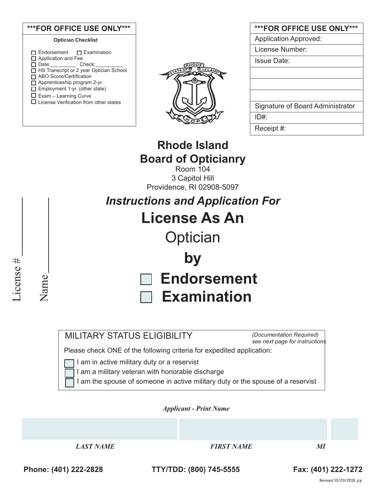| ***FOR OFFICE USE ONLY***        |
|----------------------------------|
| <b>Application Approved:</b>     |
| License Number:                  |
| <b>Issue Date:</b>               |
|                                  |
|                                  |
|                                  |
| Signature of Board Administrator |
| $ID#$ :                          |
| Receipt #:                       |

# **Rhode Island Board of Opticianry**

Room 104 3 Capitol Hill Providence, RI 02908-5097

*Instructions and Application For* **License As An Optician by**

 **Endorsement**

**Examination** 

## MILITARY STATUS ELIGIBILITY

*(Documentation Required) see next page for instructions*

Please check ONE of the following criteria for expedited application:

I am in active military duty or a reservist

I am a military veteran with honorable discharge

I am the spouse of someone in active military duty or the spouse of a reservist

*Applicant - Print Name* 

 *LAST NAME FIRST NAME MI*

License #

License #

Name

**Phone: (401) 222-2828 TTY/TDD: (800) 745-5555 Fax: (401) 222-1272**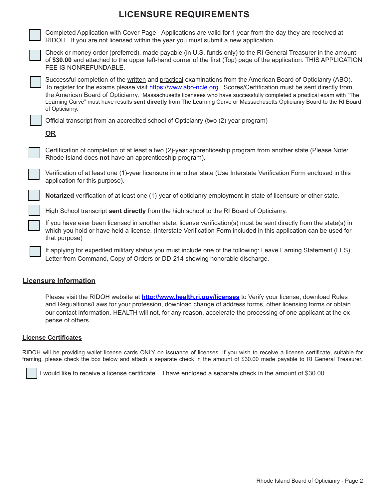### **LICENSURE REQUIREMENTS**



#### **Licensure Information**

Please visit the RIDOH website at **http://www.health.ri.gov/licenses** to Verify your license, download Rules and Regualtions/Laws for your profession, download change of address forms, other licensing forms or obtain our contact information. HEALTH will not, for any reason, accelerate the processing of one applicant at the ex pense of others.

#### **License Certificates**

RIDOH will be providing wallet license cards ONLY on issuance of licenses. If you wish to receive a license certificate, suitable for framing, please check the box below and attach a separate check in the amount of \$30.00 made payable to RI General Treasurer.

I would like to receive a license certificate. I have enclosed a separate check in the amount of \$30.00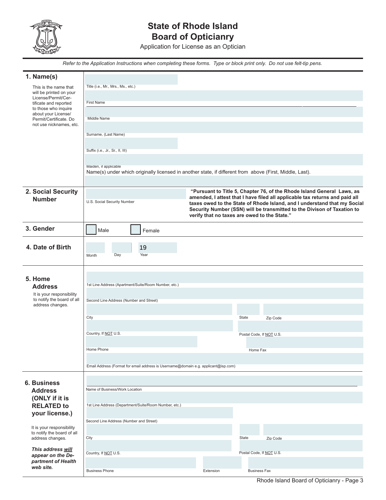

# **State of Rhode Island Board of Opticianry**

Application for License as an Optician

 *Refer to the Application Instructions when completing these forms. Type or block print only. Do not use felt-tip pens.*

| 1. Name(s)                                              |                                                                                                                                   |           |                                                                                                                                                     |  |  |  |  |  |  |
|---------------------------------------------------------|-----------------------------------------------------------------------------------------------------------------------------------|-----------|-----------------------------------------------------------------------------------------------------------------------------------------------------|--|--|--|--|--|--|
| This is the name that                                   | Title (i.e., Mr., Mrs., Ms., etc.)                                                                                                |           |                                                                                                                                                     |  |  |  |  |  |  |
| will be printed on your<br>License/Permit/Cer-          |                                                                                                                                   |           |                                                                                                                                                     |  |  |  |  |  |  |
| tificate and reported<br>to those who inquire           | First Name                                                                                                                        |           |                                                                                                                                                     |  |  |  |  |  |  |
| about your License/                                     |                                                                                                                                   |           |                                                                                                                                                     |  |  |  |  |  |  |
| Permit/Certificate. Do<br>not use nicknames, etc.       | <b>Middle Name</b>                                                                                                                |           |                                                                                                                                                     |  |  |  |  |  |  |
|                                                         | Surname, (Last Name)                                                                                                              |           |                                                                                                                                                     |  |  |  |  |  |  |
|                                                         |                                                                                                                                   |           |                                                                                                                                                     |  |  |  |  |  |  |
|                                                         | Suffix (i.e., Jr., Sr., II, III)                                                                                                  |           |                                                                                                                                                     |  |  |  |  |  |  |
|                                                         |                                                                                                                                   |           |                                                                                                                                                     |  |  |  |  |  |  |
|                                                         | Maiden, if applicable<br>Name(s) under which originally licensed in another state, if different from above (First, Middle, Last). |           |                                                                                                                                                     |  |  |  |  |  |  |
|                                                         |                                                                                                                                   |           |                                                                                                                                                     |  |  |  |  |  |  |
| 2. Social Security                                      |                                                                                                                                   |           | "Pursuant to Title 5, Chapter 76, of the Rhode Island General Laws, as                                                                              |  |  |  |  |  |  |
| <b>Number</b>                                           | U.S. Social Security Number                                                                                                       |           | amended, I attest that I have filed all applicable tax returns and paid all                                                                         |  |  |  |  |  |  |
|                                                         |                                                                                                                                   |           | taxes owed to the State of Rhode Island, and I understand that my Social<br>Security Number (SSN) will be transmitted to the Divison of Taxation to |  |  |  |  |  |  |
|                                                         | verify that no taxes are owed to the State."                                                                                      |           |                                                                                                                                                     |  |  |  |  |  |  |
| 3. Gender                                               | Male                                                                                                                              |           |                                                                                                                                                     |  |  |  |  |  |  |
|                                                         | Female                                                                                                                            |           |                                                                                                                                                     |  |  |  |  |  |  |
| 4. Date of Birth                                        | 19                                                                                                                                |           |                                                                                                                                                     |  |  |  |  |  |  |
|                                                         | Day<br>Year<br>Month                                                                                                              |           |                                                                                                                                                     |  |  |  |  |  |  |
|                                                         |                                                                                                                                   |           |                                                                                                                                                     |  |  |  |  |  |  |
|                                                         |                                                                                                                                   |           |                                                                                                                                                     |  |  |  |  |  |  |
| 5. Home                                                 | 1st Line Address (Apartment/Suite/Room Number, etc.)                                                                              |           |                                                                                                                                                     |  |  |  |  |  |  |
| <b>Address</b><br>It is your responsibility             |                                                                                                                                   |           |                                                                                                                                                     |  |  |  |  |  |  |
| to notify the board of all                              | Second Line Address (Number and Street)                                                                                           |           |                                                                                                                                                     |  |  |  |  |  |  |
| address changes.                                        |                                                                                                                                   |           |                                                                                                                                                     |  |  |  |  |  |  |
|                                                         | City                                                                                                                              |           | State<br>Zip Code                                                                                                                                   |  |  |  |  |  |  |
|                                                         |                                                                                                                                   |           |                                                                                                                                                     |  |  |  |  |  |  |
|                                                         | Country, If NOT U.S.                                                                                                              |           | Postal Code, If NOT U.S.                                                                                                                            |  |  |  |  |  |  |
|                                                         | Home Phone                                                                                                                        | Home Fax  |                                                                                                                                                     |  |  |  |  |  |  |
|                                                         |                                                                                                                                   |           |                                                                                                                                                     |  |  |  |  |  |  |
|                                                         | Email Address (Format for email address is Username@domain e.g. applicant@isp.com)                                                |           |                                                                                                                                                     |  |  |  |  |  |  |
|                                                         |                                                                                                                                   |           |                                                                                                                                                     |  |  |  |  |  |  |
| <b>6. Business</b>                                      |                                                                                                                                   |           |                                                                                                                                                     |  |  |  |  |  |  |
| <b>Address</b>                                          | Name of Business/Work Location                                                                                                    |           |                                                                                                                                                     |  |  |  |  |  |  |
| (ONLY if it is<br><b>RELATED to</b>                     | 1st Line Address (Department/Suite/Room Number, etc.)                                                                             |           |                                                                                                                                                     |  |  |  |  |  |  |
| your license.)                                          |                                                                                                                                   |           |                                                                                                                                                     |  |  |  |  |  |  |
|                                                         | Second Line Address (Number and Street)                                                                                           |           |                                                                                                                                                     |  |  |  |  |  |  |
| It is your responsibility<br>to notify the board of all |                                                                                                                                   |           |                                                                                                                                                     |  |  |  |  |  |  |
| address changes.                                        | City                                                                                                                              |           | State<br>Zip Code                                                                                                                                   |  |  |  |  |  |  |
| This address will                                       |                                                                                                                                   |           | Postal Code, If NOT U.S.                                                                                                                            |  |  |  |  |  |  |
| appear on the De-<br>partment of Health                 | Country, If NOT U.S.                                                                                                              |           |                                                                                                                                                     |  |  |  |  |  |  |
| web site.                                               | <b>Business Phone</b>                                                                                                             | Extension | <b>Business Fax</b>                                                                                                                                 |  |  |  |  |  |  |
|                                                         |                                                                                                                                   |           |                                                                                                                                                     |  |  |  |  |  |  |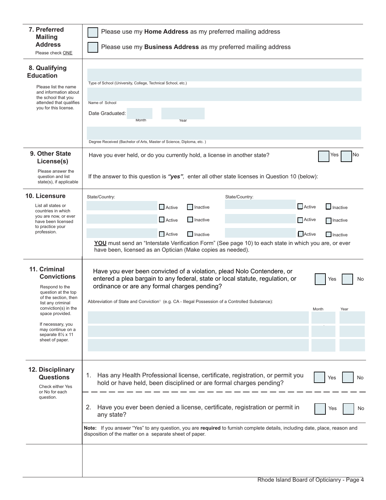| 7. Preferred<br><b>Mailing</b><br><b>Address</b><br>Please check ONE                                                                                                                                                                                             | Please use my Home Address as my preferred mailing address<br>Please use my Business Address as my preferred mailing address                                                                                                                                                                                                                                                                                                                                                    |  |  |  |  |  |  |  |  |
|------------------------------------------------------------------------------------------------------------------------------------------------------------------------------------------------------------------------------------------------------------------|---------------------------------------------------------------------------------------------------------------------------------------------------------------------------------------------------------------------------------------------------------------------------------------------------------------------------------------------------------------------------------------------------------------------------------------------------------------------------------|--|--|--|--|--|--|--|--|
| 8. Qualifying<br><b>Education</b><br>Please list the name<br>and information about<br>the school that you<br>attended that qualifies<br>you for this license.                                                                                                    | Type of School (University, College, Technical School, etc.)<br>Name of School<br>Date Graduated:<br>Month<br>Year<br>Degree Received (Bachelor of Arts, Master of Science, Diploma, etc.)                                                                                                                                                                                                                                                                                      |  |  |  |  |  |  |  |  |
| 9. Other State<br>License(s)                                                                                                                                                                                                                                     | No<br>Yes<br>Have you ever held, or do you currently hold, a license in another state?                                                                                                                                                                                                                                                                                                                                                                                          |  |  |  |  |  |  |  |  |
| Please answer the<br>question and list<br>state(s), if applicable                                                                                                                                                                                                | If the answer to this question is "yes", enter all other state licenses in Question 10 (below):                                                                                                                                                                                                                                                                                                                                                                                 |  |  |  |  |  |  |  |  |
| 10. Licensure<br>List all states or<br>countries in which<br>you are now, or ever<br>have been licensed<br>to practice your<br>profession.                                                                                                                       | State/Country:<br>State/Country:<br>$\Box$ Active<br>$\Box$ Inactive<br>Active<br>Inactive<br>$\Box$ Active<br>$\Box$ Inactive<br>Active<br>  Inactive<br>$\Box$ Active<br>$\Box$ Active<br>$\Box$ Inactive<br>$\Box$ Inactive<br>YOU must send an "Interstate Verification Form" (See page 10) to each state in which you are, or ever<br>have been, licensed as an Optician (Make copies as needed).                                                                          |  |  |  |  |  |  |  |  |
| 11. Criminal<br><b>Convictions</b><br>Respond to the<br>question at the top<br>of the section, then<br>list any criminal<br>conviction(s) in the<br>space provided.<br>If necessary, you<br>may continue on a<br>separate $8\frac{1}{2}$ x 11<br>sheet of paper. | Have you ever been convicted of a violation, plead Nolo Contendere, or<br>entered a plea bargain to any federal, state or local statute, regulation, or<br>No<br>Yes<br>ordinance or are any formal charges pending?<br>Abbreviation of State and Conviction <sup>1</sup> (e.g. CA - Illegal Possession of a Controlled Substance):<br>Month<br>Year                                                                                                                            |  |  |  |  |  |  |  |  |
| 12. Disciplinary<br><b>Questions</b><br>Check either Yes<br>or No for each<br>question.                                                                                                                                                                          | Has any Health Professional license, certificate, registration, or permit you<br>1.<br>No<br>Yes<br>hold or have held, been disciplined or are formal charges pending?<br>Have you ever been denied a license, certificate, registration or permit in<br>2.<br>Yes<br>No<br>any state?<br>Note: If you answer "Yes" to any question, you are required to furnish complete details, including date, place, reason and<br>disposition of the matter on a separate sheet of paper. |  |  |  |  |  |  |  |  |
|                                                                                                                                                                                                                                                                  |                                                                                                                                                                                                                                                                                                                                                                                                                                                                                 |  |  |  |  |  |  |  |  |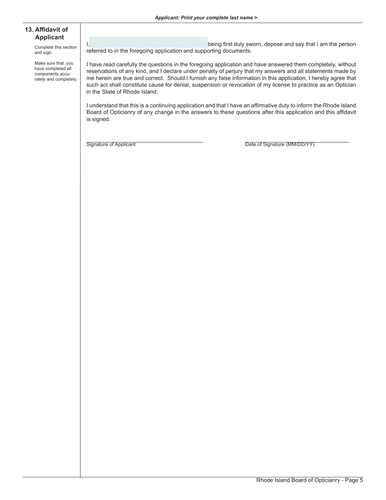#### **13. Affidavit of Applicant**

Complete this section and sign.

Make sure that you have completed all components accurately and completely.

I, the contract of the contract of the being first duly sworn, depose and say that I am the person referred to in the foregoing application and supporting documents.

I have read carefully the questions in the foregoing application and have answered them completely, without reservations of any kind, and I declare under penalty of perjury that my answers and all statements made by me herein are true and correct. Should I furnish any false information in this application, I hereby agree that such act shall constitute cause for denial, suspension or revocation of my license to practice as an Optician in the State of Rhode Island.

I understand that this is a continuing application and that I have an affirmative duty to inform the Rhode Island Board of Opticianry of any change in the answers to these questions after this application and this affidavit is signed.

Signature of Applicant **Example 20** The Signature (MM/DD/YY)